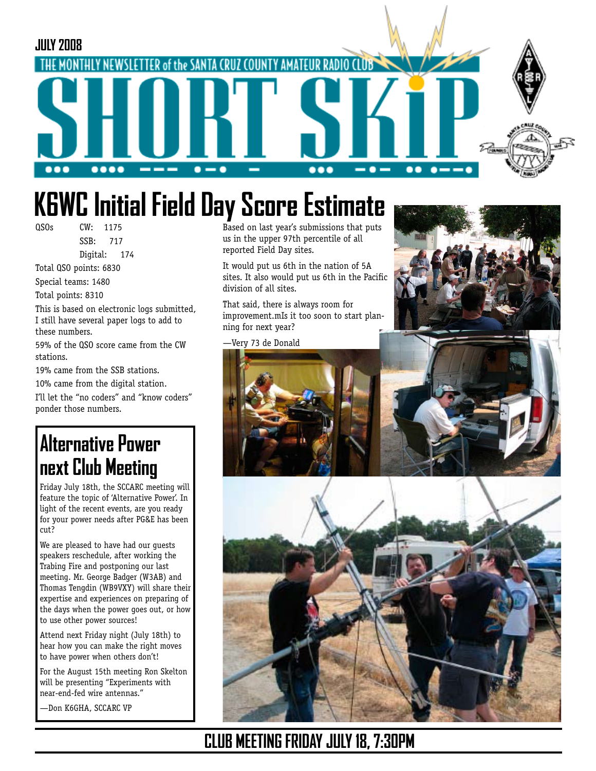

# **K6WC Initial Field Day Score Estimate**

QSOs CW: 1175

 SSB: 717 Digital: 174

Total QSO points: 6830 Special teams: 1480

Total points: 8310

This is based on electronic logs submitted, I still have several paper logs to add to these numbers.

59% of the QSO score came from the CW stations.

19% came from the SSB stations.

10% came from the digital station.

I'll let the "no coders" and "know coders" ponder those numbers.

## **Alternative Power next Club Meeting**

Friday July 18th, the SCCARC meeting will feature the topic of 'Alternative Power'. In light of the recent events, are you ready for your power needs after PG&E has been cut?

We are pleased to have had our guests speakers reschedule, after working the Trabing Fire and postponing our last meeting. Mr. George Badger (W3AB) and Thomas Tengdin (WB9VXY) will share their expertise and experiences on preparing of the days when the power goes out, or how to use other power sources!

Attend next Friday night (July 18th) to hear how you can make the right moves to have power when others don't!

For the August 15th meeting Ron Skelton will be presenting "Experiments with near-end-fed wire antennas."

—Don K6GHA, SCCARC VP

Based on last year's submissions that puts us in the upper 97th percentile of all reported Field Day sites.

It would put us 6th in the nation of 5A sites. It also would put us 6th in the Pacific division of all sites.

That said, there is always room for improvement.mIs it too soon to start planning for next year?

—Very 73 de Donald







### **CLUB MEETING FRIDAY JULY 18, 7:30PM**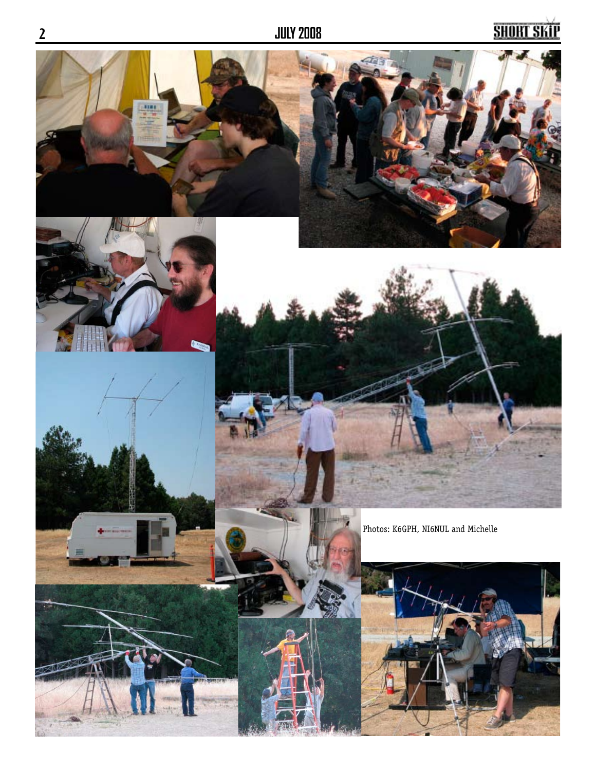## <u>SHORT SKIP</u>

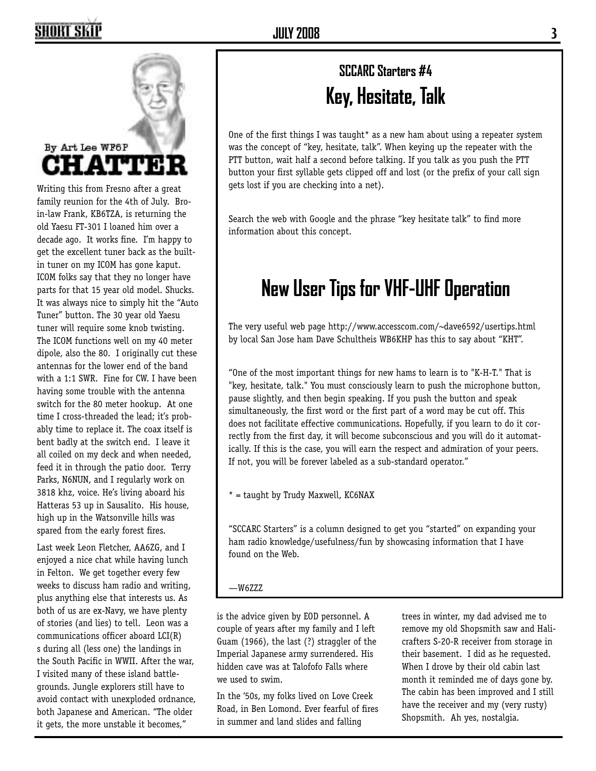

Writing this from Fresno after a great family reunion for the 4th of July. Broin-law Frank, KB6TZA, is returning the old Yaesu FT-301 I loaned him over a decade ago. It works fine. I'm happy to get the excellent tuner back as the builtin tuner on my ICOM has gone kaput. ICOM folks say that they no longer have parts for that 15 year old model. Shucks. It was always nice to simply hit the "Auto Tuner" button. The 30 year old Yaesu tuner will require some knob twisting. The ICOM functions well on my 40 meter dipole, also the 80. I originally cut these antennas for the lower end of the band with a 1:1 SWR. Fine for CW. I have been having some trouble with the antenna switch for the 80 meter hookup. At one time I cross-threaded the lead; it's probably time to replace it. The coax itself is bent badly at the switch end. I leave it all coiled on my deck and when needed, feed it in through the patio door. Terry Parks, N6NUN, and I regularly work on 3818 khz, voice. He's living aboard his Hatteras 53 up in Sausalito. His house, high up in the Watsonville hills was spared from the early forest fires.

Last week Leon Fletcher, AA6ZG, and I enjoyed a nice chat while having lunch in Felton. We get together every few weeks to discuss ham radio and writing, plus anything else that interests us. As both of us are ex-Navy, we have plenty of stories (and lies) to tell. Leon was a communications officer aboard LCI(R) s during all (less one) the landings in the South Pacific in WWII. After the war, I visited many of these island battlegrounds. Jungle explorers still have to avoid contact with unexploded ordnance, both Japanese and American. "The older it gets, the more unstable it becomes,"

## **SCCARC Starters #4 Key, Hesitate, Talk**

One of the first things I was taught<sup>\*</sup> as a new ham about using a repeater system was the concept of "key, hesitate, talk". When keying up the repeater with the PTT button, wait half a second before talking. If you talk as you push the PTT button your first syllable gets clipped off and lost (or the prefix of your call sign gets lost if you are checking into a net).

Search the web with Google and the phrase "key hesitate talk" to find more information about this concept.

## **New User Tips for VHF-UHF Operation**

The very useful web page http://www.accesscom.com/~dave6592/usertips.html by local San Jose ham Dave Schultheis WB6KHP has this to say about "KHT".

"One of the most important things for new hams to learn is to "K-H-T." That is "key, hesitate, talk." You must consciously learn to push the microphone button, pause slightly, and then begin speaking. If you push the button and speak simultaneously, the first word or the first part of a word may be cut off. This does not facilitate effective communications. Hopefully, if you learn to do it correctly from the first day, it will become subconscious and you will do it automatically. If this is the case, you will earn the respect and admiration of your peers. If not, you will be forever labeled as a sub-standard operator."

 $*$  = taught by Trudy Maxwell, KC6NAX

"SCCARC Starters" is a column designed to get you "started" on expanding your ham radio knowledge/usefulness/fun by showcasing information that I have found on the Web.

—W6ZZZ

is the advice given by EOD personnel. A couple of years after my family and I left Guam (1966), the last (?) straggler of the Imperial Japanese army surrendered. His hidden cave was at Talofofo Falls where we used to swim.

In the '50s, my folks lived on Love Creek Road, in Ben Lomond. Ever fearful of fires in summer and land slides and falling

trees in winter, my dad advised me to remove my old Shopsmith saw and Halicrafters S-20-R receiver from storage in their basement. I did as he requested. When I drove by their old cabin last month it reminded me of days gone by. The cabin has been improved and I still have the receiver and my (very rusty) Shopsmith. Ah yes, nostalgia.